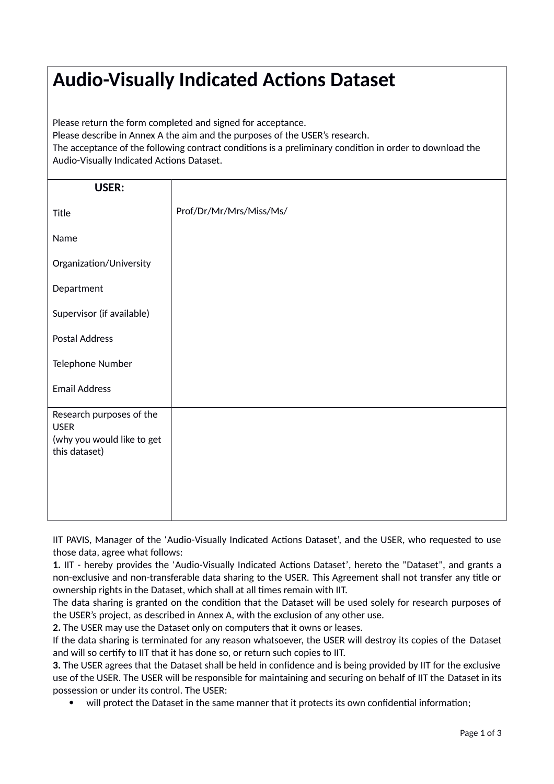## **Audio-Visually Indicated Actions Dataset**

Please return the form completed and signed for acceptance.

Please describe in Annex A the aim and the purposes of the USER's research.

The acceptance of the following contract conditions is a preliminary condition in order to download the Audio-Visually Indicated Actions Dataset.

| USER:                                   |                         |
|-----------------------------------------|-------------------------|
| Title                                   | Prof/Dr/Mr/Mrs/Miss/Ms/ |
| Name                                    |                         |
| Organization/University                 |                         |
| Department                              |                         |
| Supervisor (if available)               |                         |
| <b>Postal Address</b>                   |                         |
| Telephone Number                        |                         |
| <b>Email Address</b>                    |                         |
| Research purposes of the<br><b>USER</b> |                         |
| (why you would like to get              |                         |
| this dataset)                           |                         |
|                                         |                         |
|                                         |                         |
|                                         |                         |

IIT PAVIS, Manager of the 'Audio-Visually Indicated Actions Dataset', and the USER, who requested to use those data, agree what follows:

**1.** IIT - hereby provides the 'Audio-Visually Indicated Actions Dataset', hereto the "Dataset", and grants a non-exclusive and non-transferable data sharing to the USER. This Agreement shall not transfer any title or ownership rights in the Dataset, which shall at all times remain with IIT.

The data sharing is granted on the condition that the Dataset will be used solely for research purposes of the USER's project, as described in Annex A, with the exclusion of any other use.

**2.** The USER may use the Dataset only on computers that it owns or leases.

If the data sharing is terminated for any reason whatsoever, the USER will destroy its copies of the Dataset and will so certify to IIT that it has done so, or return such copies to IIT.

**3.** The USER agrees that the Dataset shall be held in confidence and is being provided by IIT for the exclusive use of the USER. The USER will be responsible for maintaining and securing on behalf of IIT the Dataset in its possession or under its control. The USER:

will protect the Dataset in the same manner that it protects its own confidential information;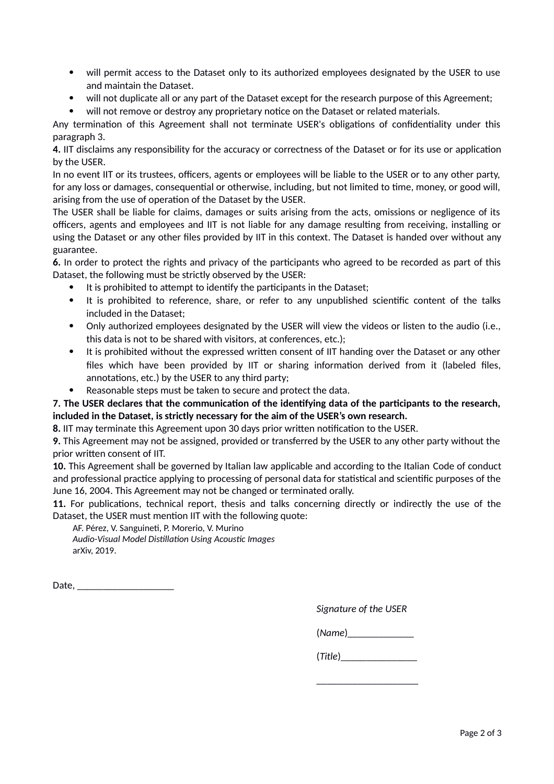- will permit access to the Dataset only to its authorized employees designated by the USER to use and maintain the Dataset.
- will not duplicate all or any part of the Dataset except for the research purpose of this Agreement;
- will not remove or destroy any proprietary notice on the Dataset or related materials.

Any termination of this Agreement shall not terminate USER's obligations of confidentiality under this paragraph 3.

**4.** IIT disclaims any responsibility for the accuracy or correctness of the Dataset or for its use or application by the USER.

In no event IIT or its trustees, officers, agents or employees will be liable to the USER or to any other party, for any loss or damages, consequential or otherwise, including, but not limited to time, money, or good will, arising from the use of operation of the Dataset by the USER.

The USER shall be liable for claims, damages or suits arising from the acts, omissions or negligence of its officers, agents and employees and IIT is not liable for any damage resulting from receiving, installing or using the Dataset or any other files provided by IIT in this context. The Dataset is handed over without any guarantee.

**6.** In order to protect the rights and privacy of the participants who agreed to be recorded as part of this Dataset, the following must be strictly observed by the USER:

- It is prohibited to attempt to identify the participants in the Dataset;
- It is prohibited to reference, share, or refer to any unpublished scientific content of the talks included in the Dataset;
- Only authorized employees designated by the USER will view the videos or listen to the audio (i.e., this data is not to be shared with visitors, at conferences, etc.);
- It is prohibited without the expressed written consent of IIT handing over the Dataset or any other files which have been provided by IIT or sharing information derived from it (labeled files, annotations, etc.) by the USER to any third party;
- Reasonable steps must be taken to secure and protect the data.

## **7. The USER declares that the communication of the identifying data of the participants to the research, included in the Dataset, is strictly necessary for the aim of the USER's own research.**

**8.** IIT may terminate this Agreement upon 30 days prior written notification to the USER.

**9.** This Agreement may not be assigned, provided or transferred by the USER to any other party without the prior written consent of IIT.

**10.** This Agreement shall be governed by Italian law applicable and according to the Italian Code of conduct and professional practice applying to processing of personal data for statistical and scientific purposes of the June 16, 2004. This Agreement may not be changed or terminated orally.

**11.** For publications, technical report, thesis and talks concerning directly or indirectly the use of the Dataset, the USER must mention IIT with the following quote:

AF. Pérez, V. Sanguineti, P. Morerio, V. Murino *Audio-Visual Model Distillation Using Acoustic Images* arXiv, 2019.

Date.

*Signature of the USER*

(*Name*)\_\_\_\_\_\_\_\_\_\_\_\_\_

(*Title*)\_\_\_\_\_\_\_\_\_\_\_\_\_\_\_

\_\_\_\_\_\_\_\_\_\_\_\_\_\_\_\_\_\_\_\_